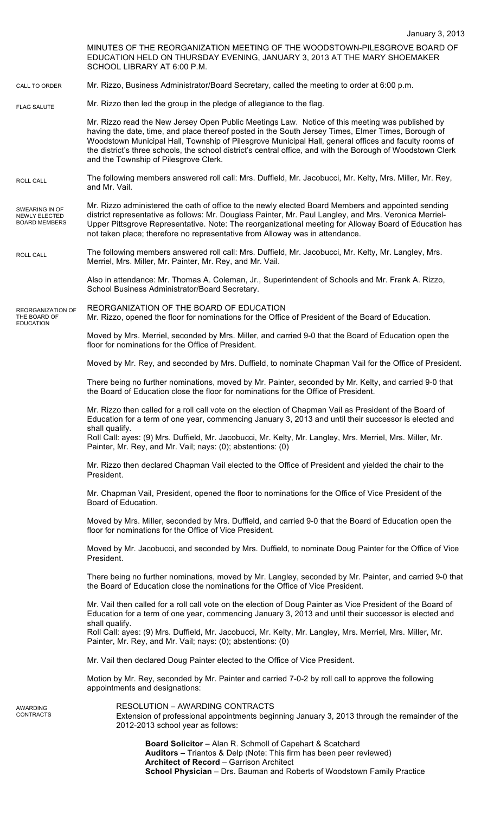January 3, 2013 MINUTES OF THE REORGANIZATION MEETING OF THE WOODSTOWN-PILESGROVE BOARD OF EDUCATION HELD ON THURSDAY EVENING, JANUARY 3, 2013 AT THE MARY SHOEMAKER SCHOOL LIBRARY AT 6:00 P.M. Mr. Rizzo, Business Administrator/Board Secretary, called the meeting to order at 6:00 p.m. Mr. Rizzo then led the group in the pledge of allegiance to the flag. Mr. Rizzo read the New Jersey Open Public Meetings Law. Notice of this meeting was published by having the date, time, and place thereof posted in the South Jersey Times, Elmer Times, Borough of Woodstown Municipal Hall, Township of Pilesgrove Municipal Hall, general offices and faculty rooms of the district's three schools, the school district's central office, and with the Borough of Woodstown Clerk and the Township of Pilesgrove Clerk. The following members answered roll call: Mrs. Duffield, Mr. Jacobucci, Mr. Kelty, Mrs. Miller, Mr. Rey, and Mr. Vail. Mr. Rizzo administered the oath of office to the newly elected Board Members and appointed sending district representative as follows: Mr. Douglass Painter, Mr. Paul Langley, and Mrs. Veronica Merriel-Upper Pittsgrove Representative. Note: The reorganizational meeting for Alloway Board of Education has not taken place; therefore no representative from Alloway was in attendance. The following members answered roll call: Mrs. Duffield, Mr. Jacobucci, Mr. Kelty, Mr. Langley, Mrs. Merriel, Mrs. Miller, Mr. Painter, Mr. Rey, and Mr. Vail. Also in attendance: Mr. Thomas A. Coleman, Jr., Superintendent of Schools and Mr. Frank A. Rizzo, School Business Administrator/Board Secretary. REORGANIZATION OF THE BOARD OF EDUCATION Mr. Rizzo, opened the floor for nominations for the Office of President of the Board of Education. Moved by Mrs. Merriel, seconded by Mrs. Miller, and carried 9-0 that the Board of Education open the floor for nominations for the Office of President. Moved by Mr. Rey, and seconded by Mrs. Duffield, to nominate Chapman Vail for the Office of President. There being no further nominations, moved by Mr. Painter, seconded by Mr. Kelty, and carried 9-0 that the Board of Education close the floor for nominations for the Office of President. Mr. Rizzo then called for a roll call vote on the election of Chapman Vail as President of the Board of Education for a term of one year, commencing January 3, 2013 and until their successor is elected and shall qualify. Roll Call: ayes: (9) Mrs. Duffield, Mr. Jacobucci, Mr. Kelty, Mr. Langley, Mrs. Merriel, Mrs. Miller, Mr. Painter, Mr. Rey, and Mr. Vail; nays: (0); abstentions: (0) Mr. Rizzo then declared Chapman Vail elected to the Office of President and yielded the chair to the President. Mr. Chapman Vail, President, opened the floor to nominations for the Office of Vice President of the Board of Education. Moved by Mrs. Miller, seconded by Mrs. Duffield, and carried 9-0 that the Board of Education open the floor for nominations for the Office of Vice President. Moved by Mr. Jacobucci, and seconded by Mrs. Duffield, to nominate Doug Painter for the Office of Vice President. There being no further nominations, moved by Mr. Langley, seconded by Mr. Painter, and carried 9-0 that the Board of Education close the nominations for the Office of Vice President. Mr. Vail then called for a roll call vote on the election of Doug Painter as Vice President of the Board of Education for a term of one year, commencing January 3, 2013 and until their successor is elected and shall qualify. Roll Call: ayes: (9) Mrs. Duffield, Mr. Jacobucci, Mr. Kelty, Mr. Langley, Mrs. Merriel, Mrs. Miller, Mr. Painter, Mr. Rey, and Mr. Vail; nays: (0); abstentions: (0) Mr. Vail then declared Doug Painter elected to the Office of Vice President. Motion by Mr. Rey, seconded by Mr. Painter and carried 7-0-2 by roll call to approve the following appointments and designations: RESOLUTION – AWARDING CONTRACTS Extension of professional appointments beginning January 3, 2013 through the remainder of the 2012-2013 school year as follows: CALL TO ORDER ROLL CALL FLAG SALUTE SWEARING IN OF NEWLY ELECTED BOARD MEMBERS REORGANIZATION OF THE BOARD OF **EDUCATION** ROLL CALL AWARDING **CONTRACTS** 

**Board Solicitor** – Alan R. Schmoll of Capehart & Scatchard **Auditors –** Triantos & Delp (Note: This firm has been peer reviewed) **Architect of Record** – Garrison Architect **School Physician** – Drs. Bauman and Roberts of Woodstown Family Practice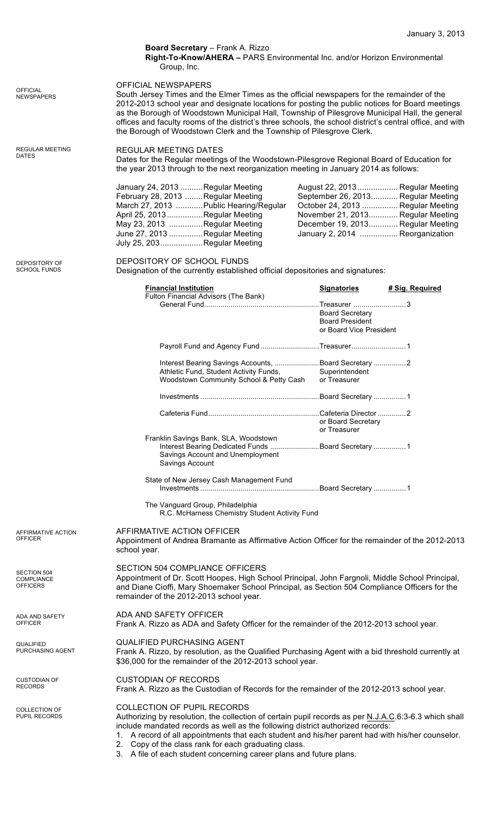|                                                     | Board Secretary - Frank A. Rizzo<br>Right-To-Know/AHERA - PARS Environmental Inc. and/or Horizon Environmental<br>Group, Inc.                                                                                                                                                                                                                                                                                                                                                                                      |  |                                                                             |                                                                                                                                                                                                                          |
|-----------------------------------------------------|--------------------------------------------------------------------------------------------------------------------------------------------------------------------------------------------------------------------------------------------------------------------------------------------------------------------------------------------------------------------------------------------------------------------------------------------------------------------------------------------------------------------|--|-----------------------------------------------------------------------------|--------------------------------------------------------------------------------------------------------------------------------------------------------------------------------------------------------------------------|
| <b>OFFICIAL</b><br><b>NEWSPAPERS</b>                | <b>OFFICIAL NEWSPAPERS</b><br>South Jersey Times and the Elmer Times as the official newspapers for the remainder of the<br>2012-2013 school year and designate locations for posting the public notices for Board meetings<br>as the Borough of Woodstown Municipal Hall, Township of Pilesgrove Municipal Hall, the general<br>offices and faculty rooms of the district's three schools, the school district's central office, and with<br>the Borough of Woodstown Clerk and the Township of Pilesgrove Clerk. |  |                                                                             |                                                                                                                                                                                                                          |
| <b>REGULAR MEETING</b><br>DATES                     | <b>REGULAR MEETING DATES</b><br>Dates for the Regular meetings of the Woodstown-Pilesgrove Regional Board of Education for<br>the year 2013 through to the next reorganization meeting in January 2014 as follows:                                                                                                                                                                                                                                                                                                 |  |                                                                             |                                                                                                                                                                                                                          |
|                                                     | January 24, 2013 Regular Meeting<br>February 28, 2013  Regular Meeting<br>March 27, 2013  Public Hearing/Regular<br>April 25, 2013 Regular Meeting<br>May 23, 2013 Regular Meeting<br>June 27, 2013 Regular Meeting<br>July 25, 203Regular Meeting                                                                                                                                                                                                                                                                 |  |                                                                             | August 22, 2013  Regular Meeting<br>September 26, 2013 Regular Meeting<br>October 24, 2013  Regular Meeting<br>November 21, 2013 Regular Meeting<br>December 19, 2013 Regular Meeting<br>January 2, 2014  Reorganization |
| <b>DEPOSITORY OF</b><br><b>SCHOOL FUNDS</b>         | DEPOSITORY OF SCHOOL FUNDS<br>Designation of the currently established official depositories and signatures:                                                                                                                                                                                                                                                                                                                                                                                                       |  |                                                                             |                                                                                                                                                                                                                          |
|                                                     | <b>Financial Institution</b><br>Fulton Financial Advisors (The Bank)                                                                                                                                                                                                                                                                                                                                                                                                                                               |  | <b>Signatories</b>                                                          | # Sig. Required                                                                                                                                                                                                          |
|                                                     |                                                                                                                                                                                                                                                                                                                                                                                                                                                                                                                    |  | <b>Board Secretary</b><br><b>Board President</b><br>or Board Vice President |                                                                                                                                                                                                                          |
|                                                     | Payroll Fund and Agency Fund Treasurer1                                                                                                                                                                                                                                                                                                                                                                                                                                                                            |  |                                                                             |                                                                                                                                                                                                                          |
|                                                     | Interest Bearing Savings Accounts, Board Secretary 2<br>Athletic Fund, Student Activity Funds,<br>Woodstown Community School & Petty Cash                                                                                                                                                                                                                                                                                                                                                                          |  | Superintendent<br>or Treasurer                                              |                                                                                                                                                                                                                          |
|                                                     |                                                                                                                                                                                                                                                                                                                                                                                                                                                                                                                    |  |                                                                             |                                                                                                                                                                                                                          |
|                                                     |                                                                                                                                                                                                                                                                                                                                                                                                                                                                                                                    |  | or Board Secretary<br>or Treasurer                                          |                                                                                                                                                                                                                          |
|                                                     | Franklin Savings Bank, SLA, Woodstown<br>Interest Bearing Dedicated Funds Board Secretary  1<br>Savings Account and Unemployment<br>Savings Account                                                                                                                                                                                                                                                                                                                                                                |  |                                                                             |                                                                                                                                                                                                                          |
|                                                     | State of New Jersey Cash Management Fund                                                                                                                                                                                                                                                                                                                                                                                                                                                                           |  |                                                                             |                                                                                                                                                                                                                          |
|                                                     | The Vanguard Group, Philadelphia<br>R.C. McHarness Chemistry Student Activity Fund                                                                                                                                                                                                                                                                                                                                                                                                                                 |  |                                                                             |                                                                                                                                                                                                                          |
| AFFIRMATIVE ACTION<br><b>OFFICER</b>                | AFFIRMATIVE ACTION OFFICER<br>Appointment of Andrea Bramante as Affirmative Action Officer for the remainder of the 2012-2013<br>school year.                                                                                                                                                                                                                                                                                                                                                                      |  |                                                                             |                                                                                                                                                                                                                          |
| SECTION 504<br><b>COMPLIANCE</b><br><b>OFFICERS</b> | <b>SECTION 504 COMPLIANCE OFFICERS</b><br>Appointment of Dr. Scott Hoopes, High School Principal, John Fargnoli, Middle School Principal,<br>and Diane Cioffi, Mary Shoemaker School Principal, as Section 504 Compliance Officers for the<br>remainder of the 2012-2013 school year.                                                                                                                                                                                                                              |  |                                                                             |                                                                                                                                                                                                                          |
| ADA AND SAFETY<br><b>OFFICER</b>                    | ADA AND SAFETY OFFICER<br>Frank A. Rizzo as ADA and Safety Officer for the remainder of the 2012-2013 school year.                                                                                                                                                                                                                                                                                                                                                                                                 |  |                                                                             |                                                                                                                                                                                                                          |
| QUALIFIED<br>PURCHASING AGENT                       | <b>QUALIFIED PURCHASING AGENT</b><br>Frank A. Rizzo, by resolution, as the Qualified Purchasing Agent with a bid threshold currently at<br>\$36,000 for the remainder of the 2012-2013 school year.                                                                                                                                                                                                                                                                                                                |  |                                                                             |                                                                                                                                                                                                                          |
| <b>CUSTODIAN OF</b><br><b>RECORDS</b>               | <b>CUSTODIAN OF RECORDS</b><br>Frank A. Rizzo as the Custodian of Records for the remainder of the 2012-2013 school year.                                                                                                                                                                                                                                                                                                                                                                                          |  |                                                                             |                                                                                                                                                                                                                          |
| <b>COLLECTION OF</b><br>PUPIL RECORDS               | COLLECTION OF PUPIL RECORDS<br>Authorizing by resolution, the collection of certain pupil records as per N.J.A.C.6:3-6.3 which shall<br>include mandated records as well as the following district authorized records:<br>1. A record of all appointments that each student and his/her parent had with his/her counselor.<br>2. Copy of the class rank for each graduating class.<br>3. A file of each student concerning career plans and future plans.                                                          |  |                                                                             |                                                                                                                                                                                                                          |